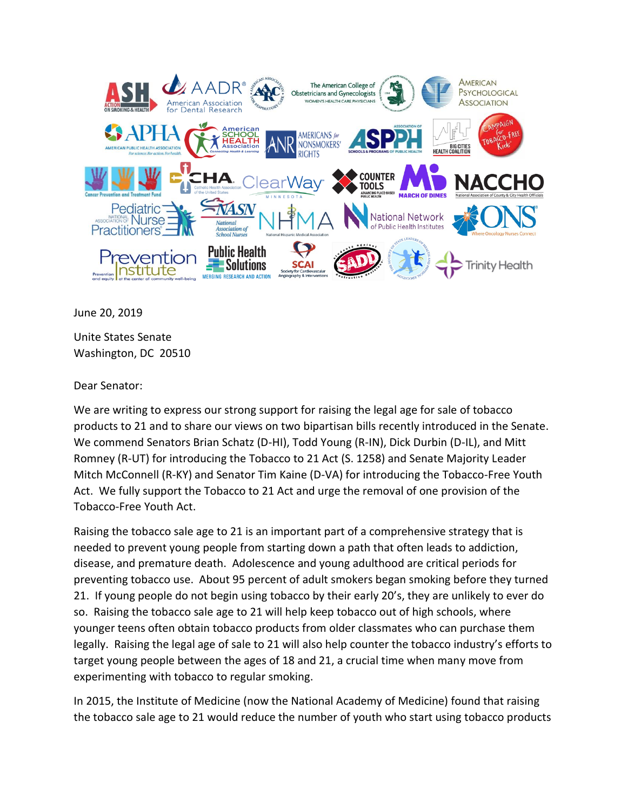

June 20, 2019

Unite States Senate Washington, DC 20510

Dear Senator:

We are writing to express our strong support for raising the legal age for sale of tobacco products to 21 and to share our views on two bipartisan bills recently introduced in the Senate. We commend Senators Brian Schatz (D-HI), Todd Young (R-IN), Dick Durbin (D-IL), and Mitt Romney (R-UT) for introducing the Tobacco to 21 Act (S. 1258) and Senate Majority Leader Mitch McConnell (R-KY) and Senator Tim Kaine (D-VA) for introducing the Tobacco-Free Youth Act. We fully support the Tobacco to 21 Act and urge the removal of one provision of the Tobacco-Free Youth Act.

Raising the tobacco sale age to 21 is an important part of a comprehensive strategy that is needed to prevent young people from starting down a path that often leads to addiction, disease, and premature death. Adolescence and young adulthood are critical periods for preventing tobacco use. About 95 percent of adult smokers began smoking before they turned 21. If young people do not begin using tobacco by their early 20's, they are unlikely to ever do so. Raising the tobacco sale age to 21 will help keep tobacco out of high schools, where younger teens often obtain tobacco products from older classmates who can purchase them legally. Raising the legal age of sale to 21 will also help counter the tobacco industry's efforts to target young people between the ages of 18 and 21, a crucial time when many move from experimenting with tobacco to regular smoking.

In 2015, the Institute of Medicine (now the National Academy of Medicine) found that raising the tobacco sale age to 21 would reduce the number of youth who start using tobacco products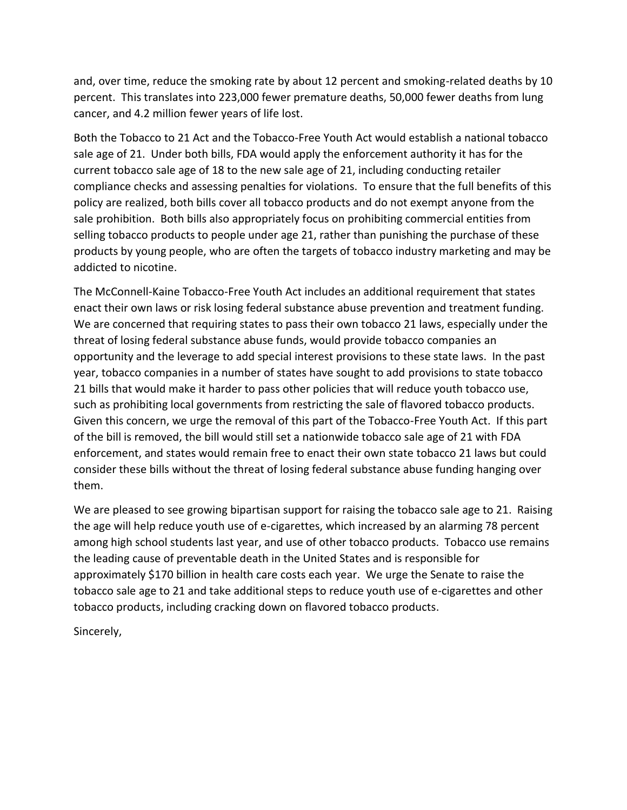and, over time, reduce the smoking rate by about 12 percent and smoking-related deaths by 10 percent. This translates into 223,000 fewer premature deaths, 50,000 fewer deaths from lung cancer, and 4.2 million fewer years of life lost.

Both the Tobacco to 21 Act and the Tobacco-Free Youth Act would establish a national tobacco sale age of 21. Under both bills, FDA would apply the enforcement authority it has for the current tobacco sale age of 18 to the new sale age of 21, including conducting retailer compliance checks and assessing penalties for violations. To ensure that the full benefits of this policy are realized, both bills cover all tobacco products and do not exempt anyone from the sale prohibition. Both bills also appropriately focus on prohibiting commercial entities from selling tobacco products to people under age 21, rather than punishing the purchase of these products by young people, who are often the targets of tobacco industry marketing and may be addicted to nicotine.

The McConnell-Kaine Tobacco-Free Youth Act includes an additional requirement that states enact their own laws or risk losing federal substance abuse prevention and treatment funding. We are concerned that requiring states to pass their own tobacco 21 laws, especially under the threat of losing federal substance abuse funds, would provide tobacco companies an opportunity and the leverage to add special interest provisions to these state laws. In the past year, tobacco companies in a number of states have sought to add provisions to state tobacco 21 bills that would make it harder to pass other policies that will reduce youth tobacco use, such as prohibiting local governments from restricting the sale of flavored tobacco products. Given this concern, we urge the removal of this part of the Tobacco-Free Youth Act. If this part of the bill is removed, the bill would still set a nationwide tobacco sale age of 21 with FDA enforcement, and states would remain free to enact their own state tobacco 21 laws but could consider these bills without the threat of losing federal substance abuse funding hanging over them.

We are pleased to see growing bipartisan support for raising the tobacco sale age to 21. Raising the age will help reduce youth use of e-cigarettes, which increased by an alarming 78 percent among high school students last year, and use of other tobacco products. Tobacco use remains the leading cause of preventable death in the United States and is responsible for approximately \$170 billion in health care costs each year. We urge the Senate to raise the tobacco sale age to 21 and take additional steps to reduce youth use of e-cigarettes and other tobacco products, including cracking down on flavored tobacco products.

Sincerely,